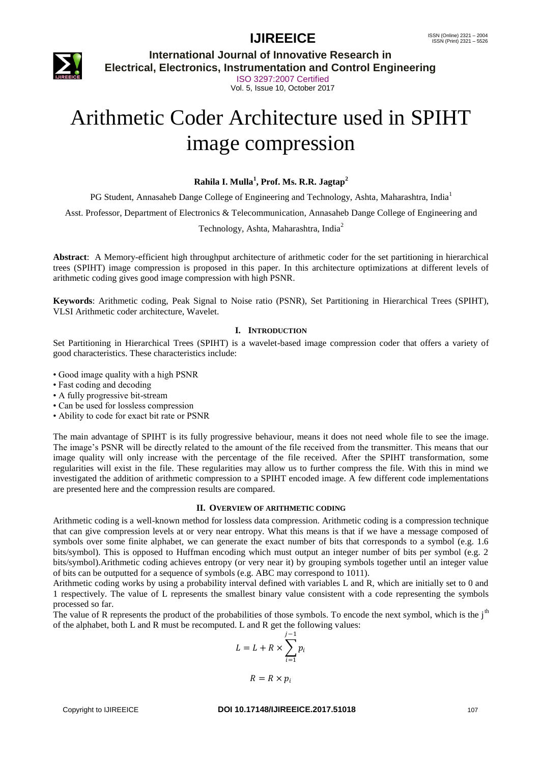## **IJIREEICE ISSN** (Online)  $2321 - 2004$ <br>
ISSN (Print)  $2321 - 5526$



**International Journal of Innovative Research in Electrical, Electronics, Instrumentation and Control Engineering**

> ISO 3297:2007 Certified Vol. 5, Issue 10, October 2017

# Arithmetic Coder Architecture used in SPIHT image compression

#### **Rahila I. Mulla<sup>1</sup> , Prof. Ms. R.R. Jagtap<sup>2</sup>**

PG Student, Annasaheb Dange College of Engineering and Technology, Ashta, Maharashtra, India<sup>1</sup>

Asst. Professor, Department of Electronics & Telecommunication, Annasaheb Dange College of Engineering and

Technology, Ashta, Maharashtra, India<sup>2</sup>

**Abstract**: A Memory-efficient high throughput architecture of arithmetic coder for the set partitioning in hierarchical trees (SPIHT) image compression is proposed in this paper. In this architecture optimizations at different levels of arithmetic coding gives good image compression with high PSNR.

**Keywords**: Arithmetic coding, Peak Signal to Noise ratio (PSNR), Set Partitioning in Hierarchical Trees (SPIHT), VLSI Arithmetic coder architecture, Wavelet.

#### **I. INTRODUCTION**

Set Partitioning in Hierarchical Trees (SPIHT) is a wavelet-based image compression coder that offers a variety of good characteristics. These characteristics include:

- Good image quality with a high PSNR
- Fast coding and decoding
- A fully progressive bit-stream
- Can be used for lossless compression
- Ability to code for exact bit rate or PSNR

The main advantage of SPIHT is its fully progressive behaviour, means it does not need whole file to see the image. The image's PSNR will be directly related to the amount of the file received from the transmitter. This means that our image quality will only increase with the percentage of the file received. After the SPIHT transformation, some regularities will exist in the file. These regularities may allow us to further compress the file. With this in mind we investigated the addition of arithmetic compression to a SPIHT encoded image. A few different code implementations are presented here and the compression results are compared.

#### **II. OVERVIEW OF ARITHMETIC CODING**

Arithmetic coding is a well-known method for lossless data compression. Arithmetic coding is a compression technique that can give compression levels at or very near entropy. What this means is that if we have a message composed of symbols over some finite alphabet, we can generate the exact number of bits that corresponds to a symbol (e.g. 1.6) bits/symbol). This is opposed to Huffman encoding which must output an integer number of bits per symbol (e.g. 2 bits/symbol).Arithmetic coding achieves entropy (or very near it) by grouping symbols together until an integer value of bits can be outputted for a sequence of symbols (e.g. ABC may correspond to 1011).

Arithmetic coding works by using a probability interval defined with variables L and R, which are initially set to 0 and 1 respectively. The value of L represents the smallest binary value consistent with a code representing the symbols processed so far.

The value of R represents the product of the probabilities of those symbols. To encode the next symbol, which is the  $j<sup>th</sup>$ of the alphabet, both L and R must be recomputed. L and R get the following values:

$$
L = L + R \times \sum_{i=1}^{j-1} p_i
$$

$$
R = R \times p_i
$$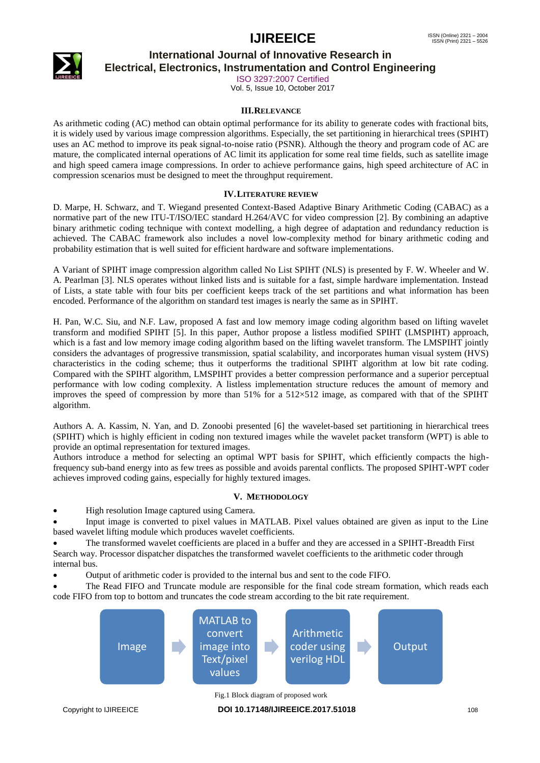# **IJIREEICE ISSN** (Online)  $2321 - 2004$ <br>
ISSN (Print)  $2321 - 5526$



# **International Journal of Innovative Research in**

**Electrical, Electronics, Instrumentation and Control Engineering**

ISO 3297:2007 Certified Vol. 5, Issue 10, October 2017

### **III.RELEVANCE**

As arithmetic coding (AC) method can obtain optimal performance for its ability to generate codes with fractional bits, it is widely used by various image compression algorithms. Especially, the set partitioning in hierarchical trees (SPIHT) uses an AC method to improve its peak signal-to-noise ratio (PSNR). Although the theory and program code of AC are mature, the complicated internal operations of AC limit its application for some real time fields, such as satellite image and high speed camera image compressions. In order to achieve performance gains, high speed architecture of AC in compression scenarios must be designed to meet the throughput requirement.

### **IV.LITERATURE REVIEW**

D. Marpe, H. Schwarz, and T. Wiegand presented Context-Based Adaptive Binary Arithmetic Coding (CABAC) as a normative part of the new ITU-T/ISO/IEC standard H.264/AVC for video compression [2]. By combining an adaptive binary arithmetic coding technique with context modelling, a high degree of adaptation and redundancy reduction is achieved. The CABAC framework also includes a novel low-complexity method for binary arithmetic coding and probability estimation that is well suited for efficient hardware and software implementations.

A Variant of SPIHT image compression algorithm called No List SPIHT (NLS) is presented by F. W. Wheeler and W. A. Pearlman [3]. NLS operates without linked lists and is suitable for a fast, simple hardware implementation. Instead of Lists, a state table with four bits per coefficient keeps track of the set partitions and what information has been encoded. Performance of the algorithm on standard test images is nearly the same as in SPIHT.

H. Pan, W.C. Siu, and N.F. Law, proposed A fast and low memory image coding algorithm based on lifting wavelet transform and modified SPIHT [5]. In this paper, Author propose a listless modified SPIHT (LMSPIHT) approach, which is a fast and low memory image coding algorithm based on the lifting wavelet transform. The LMSPIHT jointly considers the advantages of progressive transmission, spatial scalability, and incorporates human visual system (HVS) characteristics in the coding scheme; thus it outperforms the traditional SPIHT algorithm at low bit rate coding. Compared with the SPIHT algorithm, LMSPIHT provides a better compression performance and a superior perceptual performance with low coding complexity. A listless implementation structure reduces the amount of memory and improves the speed of compression by more than  $51\%$  for a  $512\times512$  image, as compared with that of the SPIHT algorithm.

Authors A. A. Kassim, N. Yan, and D. Zonoobi presented [6] the wavelet-based set partitioning in hierarchical trees (SPIHT) which is highly efficient in coding non textured images while the wavelet packet transform (WPT) is able to provide an optimal representation for textured images.

Authors introduce a method for selecting an optimal WPT basis for SPIHT, which efficiently compacts the highfrequency sub-band energy into as few trees as possible and avoids parental conflicts. The proposed SPIHT-WPT coder achieves improved coding gains, especially for highly textured images.

### **V. METHODOLOGY**

High resolution Image captured using Camera.

 Input image is converted to pixel values in MATLAB. Pixel values obtained are given as input to the Line based wavelet lifting module which produces wavelet coefficients.

 The transformed wavelet coefficients are placed in a buffer and they are accessed in a SPIHT-Breadth First Search way. Processor dispatcher dispatches the transformed wavelet coefficients to the arithmetic coder through internal bus.

Output of arithmetic coder is provided to the internal bus and sent to the code FIFO.

 The Read FIFO and Truncate module are responsible for the final code stream formation, which reads each code FIFO from top to bottom and truncates the code stream according to the bit rate requirement.